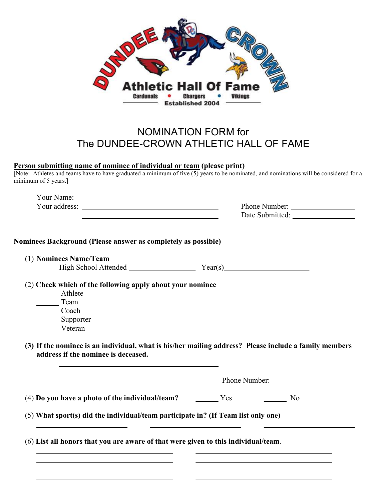

## NOMINATION FORM for The DUNDEE-CROWN ATHLETIC HALL OF FAME

## Person submitting name of nominee of individual or team (please print)

[Note: Athletes and teams have to have graduated a minimum of five (5) years to be nominated, and nominations will be considered for a minimum of 5 years.]

|                                                                                                                       | Phone Number:                                                                                         |
|-----------------------------------------------------------------------------------------------------------------------|-------------------------------------------------------------------------------------------------------|
| <u> 1989 - Johann Stein, marwolaethau a bhann an t-Amhair Aonaichte ann an t-Amhair Aonaichte ann an t-Amhair Aon</u> | Date Submitted:                                                                                       |
|                                                                                                                       |                                                                                                       |
| Nominees Background (Please answer as completely as possible)                                                         |                                                                                                       |
|                                                                                                                       |                                                                                                       |
|                                                                                                                       |                                                                                                       |
| (2) Check which of the following apply about your nominee                                                             |                                                                                                       |
| Athlete                                                                                                               |                                                                                                       |
| Team                                                                                                                  |                                                                                                       |
| Coach                                                                                                                 |                                                                                                       |
| Supporter                                                                                                             |                                                                                                       |
| Veteran                                                                                                               |                                                                                                       |
|                                                                                                                       | (3) If the nominee is an individual, what is his/her mailing address? Please include a family members |
| address if the nominee is deceased.                                                                                   |                                                                                                       |
| <u> 1989 - Johann Stoff, Amerikaansk politiker († 1908)</u>                                                           |                                                                                                       |
| $(4)$ Do you have a photo of the individual/team? $\qquad \qquad \qquad$ Yes                                          | N <sub>0</sub>                                                                                        |